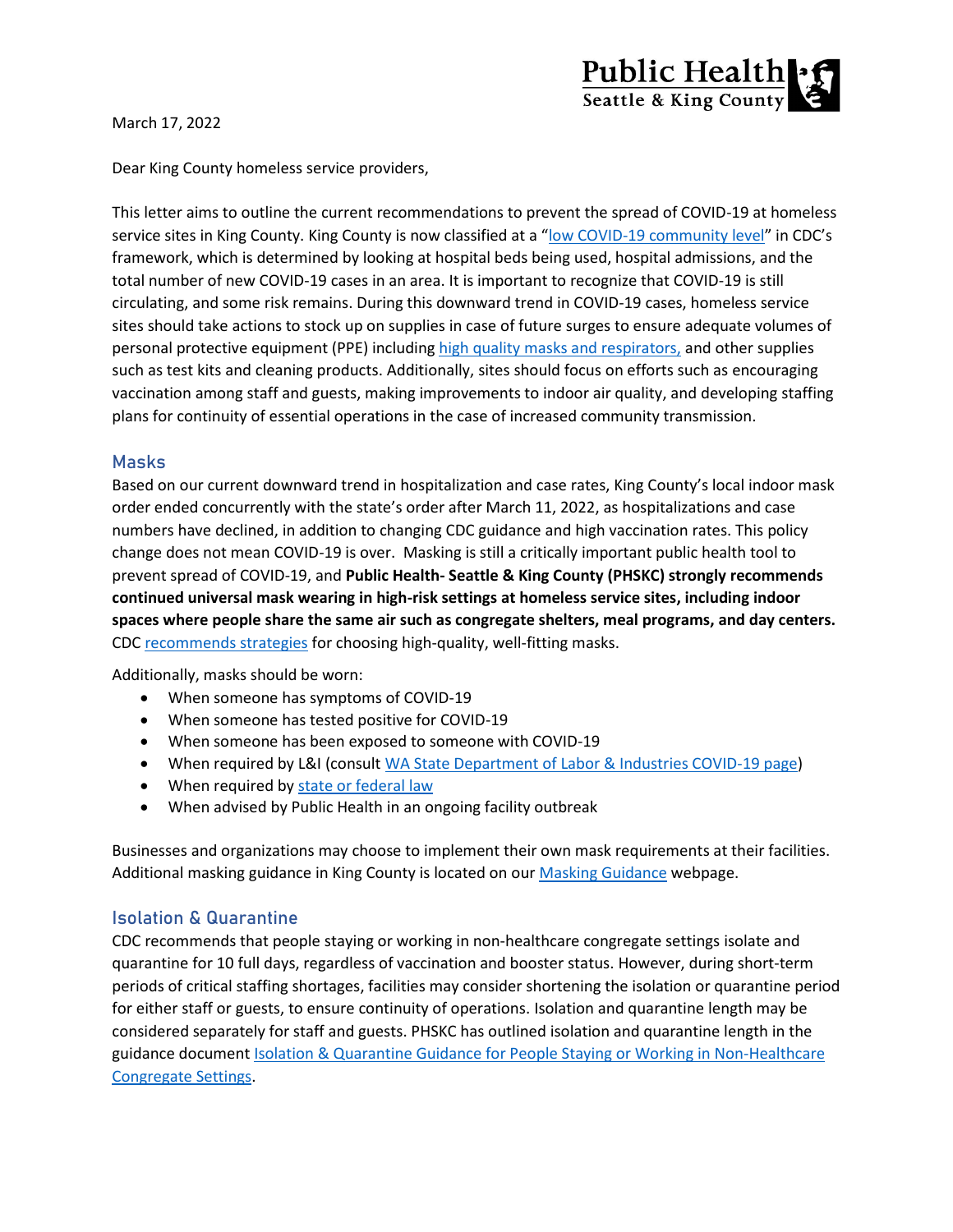

March 17, 2022

Dear King County homeless service providers,

This letter aims to outline the current recommendations to prevent the spread of COVID-19 at homeless service sites in King County. King County is now classified at a "[low COVID-19 community level](https://www.cdc.gov/coronavirus/2019-ncov/your-health/covid-by-county.html)" in CDC's framework, which is determined by looking at hospital beds being used, hospital admissions, and the total number of new COVID-19 cases in an area. It is important to recognize that COVID-19 is still circulating, and some risk remains. During this downward trend in COVID-19 cases, homeless service sites should take actions to stock up on supplies in case of future surges to ensure adequate volumes of personal protective equipment (PPE) including [high quality masks and respirators,](https://www.cdc.gov/coronavirus/2019-ncov/prevent-getting-sick/types-of-masks.html) and other supplies such as test kits and cleaning products. Additionally, sites should focus on efforts such as encouraging vaccination among staff and guests, making improvements to indoor air quality, and developing staffing plans for continuity of essential operations in the case of increased community transmission.

#### **Masks**

Based on our current downward trend in hospitalization and case rates, King County's local indoor mask order ended concurrently with the state's order after March 11, 2022, as hospitalizations and case numbers have declined, in addition to changing CDC guidance and high vaccination rates. This policy change does not mean COVID-19 is over. Masking is still a critically important public health tool to prevent spread of COVID-19, and **Public Health- Seattle & King County (PHSKC) strongly recommends continued universal mask wearing in high-risk settings at homeless service sites, including indoor spaces where people share the same air such as congregate shelters, meal programs, and day centers.** CDC [recommends strategies](https://www.cdc.gov/coronavirus/2019-ncov/prevent-getting-sick/types-of-masks.html) for choosing high-quality, well-fitting masks.

Additionally, masks should be worn:

- When someone has symptoms of COVID-19
- When someone has tested positive for COVID-19
- When someone has been exposed to someone with COVID-19
- When required by L&I (consult WA [State Department of Labor & Industries COVID-19 page\)](https://www.lni.wa.gov/safety-health/safety-topics/topics/coronavirus#masks-and-respiratory-protection)
- When required b[y state or federal law](https://kingcounty.gov/depts/health/covid-19/current-guidance/masks.aspx)
- When advised by Public Health in an ongoing facility outbreak

Businesses and organizations may choose to implement their own mask requirements at their facilities. Additional masking guidance in King County is located on ou[r Masking Guidance](https://kingcounty.gov/depts/health/covid-19/current-guidance/masks.aspx) webpage.

### **Isolation & Quarantine**

CDC recommends that people staying or working in non-healthcare congregate settings isolate and quarantine for 10 full days, regardless of vaccination and booster status. However, during short-term periods of critical staffing shortages, facilities may consider shortening the isolation or quarantine period for either staff or guests, to ensure continuity of operations. Isolation and quarantine length may be considered separately for staff and guests. PHSKC has outlined isolation and quarantine length in the guidance document [Isolation & Quarantine Guidance for People Staying or Working in Non-Healthcare](https://kingcounty.gov/depts/health/covid-19/providers/~/media/depts/health/communicable-diseases/documents/C19/hch/isolation-quarantine-guidance-homeless-services.ashx)  [Congregate Settings.](https://kingcounty.gov/depts/health/covid-19/providers/~/media/depts/health/communicable-diseases/documents/C19/hch/isolation-quarantine-guidance-homeless-services.ashx)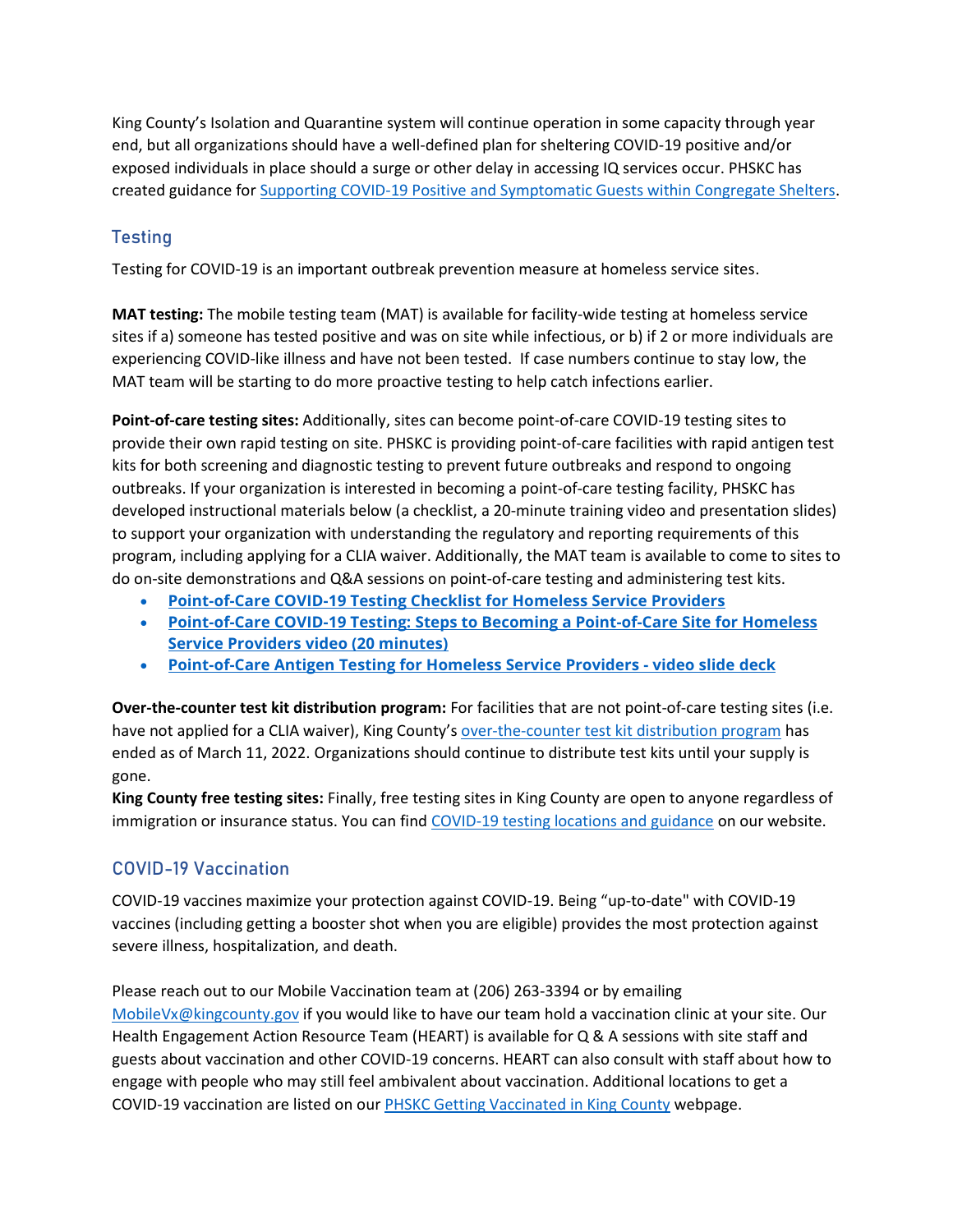King County's Isolation and Quarantine system will continue operation in some capacity through year end, but all organizations should have a well-defined plan for sheltering COVID-19 positive and/or exposed individuals in place should a surge or other delay in accessing IQ services occur. PHSKC has created guidance for [Supporting COVID-19 Positive and Symptomatic Guests within Congregate Shelters.](https://kingcounty.gov/~/media/depts/health/communicable-diseases/documents/C19/hch/shelter-in-place-guidance.ashx?la=en)

# **Testing**

Testing for COVID-19 is an important outbreak prevention measure at homeless service sites.

**MAT testing:** The mobile testing team (MAT) is available for facility-wide testing at homeless service sites if a) someone has tested positive and was on site while infectious, or b) if 2 or more individuals are experiencing COVID-like illness and have not been tested. If case numbers continue to stay low, the MAT team will be starting to do more proactive testing to help catch infections earlier.

**Point-of-care testing sites:** Additionally, sites can become point-of-care COVID-19 testing sites to provide their own rapid testing on site. PHSKC is providing point-of-care facilities with rapid antigen test kits for both screening and diagnostic testing to prevent future outbreaks and respond to ongoing outbreaks. If your organization is interested in becoming a point-of-care testing facility, PHSKC has developed instructional materials below (a checklist, a 20-minute training video and presentation slides) to support your organization with understanding the regulatory and reporting requirements of this program, including applying for a CLIA waiver. Additionally, the MAT team is available to come to sites to do on-site demonstrations and Q&A sessions on point-of-care testing and administering test kits.

- **[Point-of-Care COVID-19 Testing Checklist for Homeless Service Providers](https://kingcounty.gov/~/media/depts/health/communicable-diseases/documents/C19/COVID-19-testing-checklist-homeless-service-providers.ashx?la=en)**
- **[Point-of-Care COVID-19 Testing: Steps to Becoming a Point-of-Care Site for Homeless](https://gcc02.safelinks.protection.outlook.com/?url=https%3A%2F%2Fwww.youtube.com%2Fwatch%3Fv%3DaqcZiYRULP8&data=04%7C01%7Crgunsalus%40kingcounty.gov%7C6159dc7d0beb43e530a508d9dc4c8021%7Cbae5059a76f049d7999672dfe95d69c7%7C0%7C0%7C637783043385377195%7CUnknown%7CTWFpbGZsb3d8eyJWIjoiMC4wLjAwMDAiLCJQIjoiV2luMzIiLCJBTiI6Ik1haWwiLCJXVCI6Mn0%3D%7C3000&sdata=D6czO8pnPPrlVhnzsR5z9yrvEsLk%2FFo6uOcLpjJY%2Fl0%3D&reserved=0)  [Service Providers video \(20 minutes\)](https://gcc02.safelinks.protection.outlook.com/?url=https%3A%2F%2Fwww.youtube.com%2Fwatch%3Fv%3DaqcZiYRULP8&data=04%7C01%7Crgunsalus%40kingcounty.gov%7C6159dc7d0beb43e530a508d9dc4c8021%7Cbae5059a76f049d7999672dfe95d69c7%7C0%7C0%7C637783043385377195%7CUnknown%7CTWFpbGZsb3d8eyJWIjoiMC4wLjAwMDAiLCJQIjoiV2luMzIiLCJBTiI6Ik1haWwiLCJXVCI6Mn0%3D%7C3000&sdata=D6czO8pnPPrlVhnzsR5z9yrvEsLk%2FFo6uOcLpjJY%2Fl0%3D&reserved=0)**
- **[Point-of-Care Antigen Testing for Homeless Service Providers -](https://kingcounty.gov/depts/health/covid-19/providers/~/media/depts/health/communicable-diseases/documents/C19/point-of-care-testing-homeless-providers.ashx) video slide deck**

**Over-the-counter test kit distribution program:** For facilities that are not point-of-care testing sites (i.e. have not applied for a CLIA waiver), King County's [over-the-counter test kit distribution program](https://kingcounty.gov/depts/emergency-management/covid-requests.aspx#test-kits) has ended as of March 11, 2022. Organizations should continue to distribute test kits until your supply is gone.

**King County free testing sites:** Finally, free testing sites in King County are open to anyone regardless of immigration or insurance status. You can find [COVID-19 testing locations and guidance](https://kingcounty.gov/depts/health/covid-19/testing.aspx) on our website.

## **COVID-19 Vaccination**

COVID-19 vaccines maximize your protection against COVID-19. Being "up-to-date" with COVID-19 vaccines (including getting a booster shot when you are eligible) provides the most protection against severe illness, hospitalization, and death.

Please reach out to our Mobile Vaccination team at (206) 263-3394 or by emailing [MobileVx@kingcounty.gov](mailto:MobileVx@kingcounty.gov) if you would like to have our team hold a vaccination clinic at your site. Our Health Engagement Action Resource Team (HEART) is available for Q & A sessions with site staff and guests about vaccination and other COVID-19 concerns. HEART can also consult with staff about how to engage with people who may still feel ambivalent about vaccination. Additional locations to get a COVID-19 vaccination are listed on our [PHSKC Getting Vaccinated in King County](https://kingcounty.gov/depts/health/covid-19/vaccine/distribution.aspx) webpage.